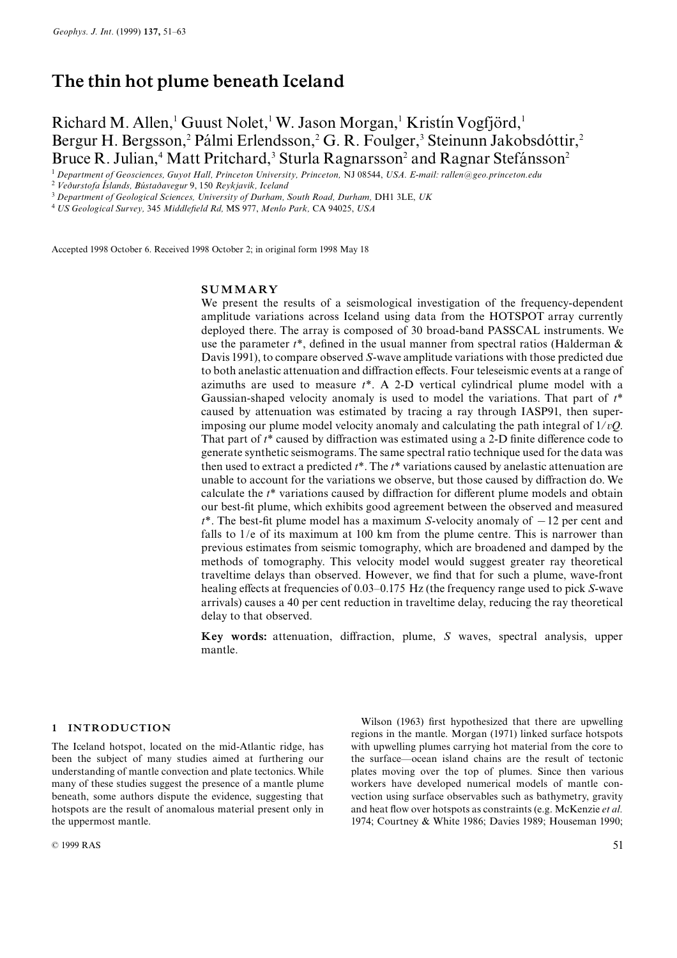# The thin hot plume beneath Iceland

Richard M. Allen,<sup>1</sup> Guust Nolet,<sup>1</sup> W. Jason Morgan,<sup>1</sup> Kristin Vogfjörd,<sup>1</sup> Bergur H. Bergsson,<sup>2</sup> Pálmi Erlendsson,<sup>2</sup> G. R. Foulger,<sup>3</sup> Steinunn Jakobsdóttir,<sup>2</sup> Bruce R. Julian,<sup>4</sup> Matt Pritchard,<sup>3</sup> Sturla Ragnarsson<sup>2</sup> and Ragnar Stefánsson<sup>2</sup>

<sup>1</sup> Department of Geosciences, Guyot Hall, Princeton University, Princeton, NJ 08544, USA. E-mail: rallen@geo.princeton.edu

 $2$  Veðurstofa Íslands, Bústaðavegur 9, 150 Reykjavik, Iceland

 $3$  Department of Geological Sciences, University of Durham, South Road, Durham, DH1 3LE, UK

<sup>4</sup> US Geological Survey, 345 Middle¢eld Rd, MS 977, Menlo Park, CA 94025, USA

Accepted 1998 October 6. Received 1998 October 2; in original form 1998 May 18

#### SUMMARY

We present the results of a seismological investigation of the frequency-dependent amplitude variations across Iceland using data from the HOTSPOT array currently deployed there. The array is composed of 30 broad-band PASSCAL instruments. We use the parameter  $t^*$ , defined in the usual manner from spectral ratios (Halderman  $\&$ Davis 1991), to compare observed S-wave amplitude variations with those predicted due to both anelastic attenuation and diffraction effects. Four teleseismic events at a range of azimuths are used to measure  $t^*$ . A 2-D vertical cylindrical plume model with a Gaussian-shaped velocity anomaly is used to model the variations. That part of  $t^*$ caused by attenuation was estimated by tracing a ray through IASP91, then superimposing our plume model velocity anomaly and calculating the path integral of  $1/vQ$ . That part of  $t^*$  caused by diffraction was estimated using a 2-D finite difference code to generate synthetic seismograms. The same spectral ratio technique used for the data was then used to extract a predicted  $t^*$ . The  $t^*$  variations caused by anelastic attenuation are unable to account for the variations we observe, but those caused by diffraction do. We calculate the  $t^*$  variations caused by diffraction for different plume models and obtain our best-fit plume, which exhibits good agreement between the observed and measured  $t^*$ . The best-fit plume model has a maximum S-velocity anomaly of  $-12$  per cent and falls to  $1/e$  of its maximum at 100 km from the plume centre. This is narrower than previous estimates from seismic tomography, which are broadened and damped by the methods of tomography. This velocity model would suggest greater ray theoretical traveltime delays than observed. However, we ¢nd that for such a plume, wave-front healing effects at frequencies of 0.03–0.175 Hz (the frequency range used to pick S-wave arrivals) causes a 40 per cent reduction in traveltime delay, reducing the ray theoretical delay to that observed.

Key words: attenuation, diffraction, plume,  $S$  waves, spectral analysis, upper mantle.

#### 1 INTRODUCTION

The Iceland hotspot, located on the mid-Atlantic ridge, has been the subject of many studies aimed at furthering our understanding of mantle convection and plate tectonics. While many of these studies suggest the presence of a mantle plume beneath, some authors dispute the evidence, suggesting that hotspots are the result of anomalous material present only in the uppermost mantle.

 $\oslash$  1999 RAS 51

Wilson (1963) first hypothesized that there are upwelling regions in the mantle. Morgan (1971) linked surface hotspots with upwelling plumes carrying hot material from the core to the surface—ocean island chains are the result of tectonic plates moving over the top of plumes. Since then various workers have developed numerical models of mantle convection using surface observables such as bathymetry, gravity and heat flow over hotspots as constraints (e.g. McKenzie et al. 1974; Courtney & White 1986; Davies 1989; Houseman 1990;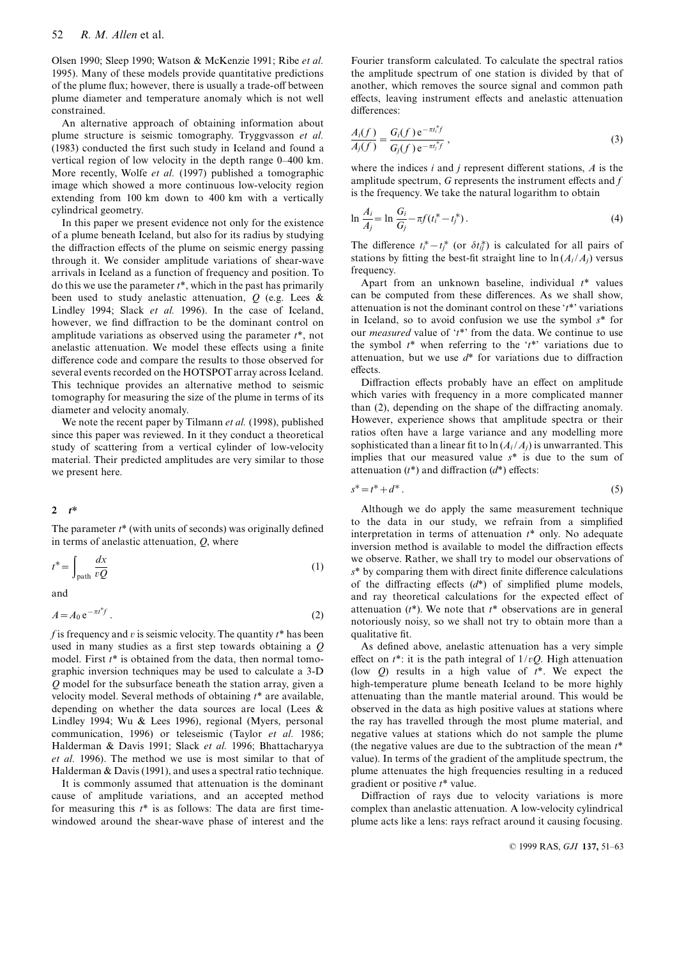Olsen 1990; Sleep 1990; Watson & McKenzie 1991; Ribe et al. 1995). Many of these models provide quantitative predictions of the plume flux; however, there is usually a trade-off between plume diameter and temperature anomaly which is not well constrained.

An alternative approach of obtaining information about plume structure is seismic tomography. Tryggvasson et al. (1983) conducted the first such study in Iceland and found a vertical region of low velocity in the depth range 0-400 km. More recently, Wolfe et al. (1997) published a tomographic image which showed a more continuous low-velocity region extending from 100 km down to 400 km with a vertically cylindrical geometry.

In this paper we present evidence not only for the existence of a plume beneath Iceland, but also for its radius by studying the diffraction effects of the plume on seismic energy passing through it. We consider amplitude variations of shear-wave arrivals in Iceland as a function of frequency and position. To do this we use the parameter  $t^*$ , which in the past has primarily been used to study anelastic attenuation,  $Q$  (e.g. Lees  $\&$ Lindley 1994; Slack et al. 1996). In the case of Iceland, however, we find diffraction to be the dominant control on amplitude variations as observed using the parameter  $t^*$ , not anelastic attenuation. We model these effects using a finite difference code and compare the results to those observed for several events recorded on the HOTSPOT array across Iceland. This technique provides an alternative method to seismic tomography for measuring the size of the plume in terms of its diameter and velocity anomaly.

We note the recent paper by Tilmann et al. (1998), published since this paper was reviewed. In it they conduct a theoretical study of scattering from a vertical cylinder of low-velocity material. Their predicted amplitudes are very similar to those we present here.

## $2 \t t^*$

The parameter  $t^*$  (with units of seconds) was originally defined in terms of anelastic attenuation,  $Q$ , where

$$
t^* = \int_{\text{path}} \frac{dx}{vQ} \tag{1}
$$

and

$$
A = A_0 e^{-\pi t^* f} \tag{2}
$$

f is frequency and v is seismic velocity. The quantity  $t^*$  has been used in many studies as a first step towards obtaining a  $Q$ model. First  $t^*$  is obtained from the data, then normal tomographic inversion techniques may be used to calculate a 3-D Q model for the subsurface beneath the station array, given a velocity model. Several methods of obtaining  $t^*$  are available. depending on whether the data sources are local (Lees  $\&$ Lindley 1994; Wu & Lees 1996), regional (Myers, personal communication, 1996) or teleseismic (Taylor et al. 1986; Halderman & Davis 1991; Slack et al. 1996; Bhattacharyya et al. 1996). The method we use is most similar to that of Halderman & Davis (1991), and uses a spectral ratio technique.

It is commonly assumed that attenuation is the dominant cause of amplitude variations, and an accepted method for measuring this  $t^*$  is as follows: The data are first timewindowed around the shear-wave phase of interest and the

Fourier transform calculated. To calculate the spectral ratios the amplitude spectrum of one station is divided by that of another, which removes the source signal and common path effects, leaving instrument effects and anelastic attenuation differences:

$$
\frac{A_i(f)}{A_j(f)} = \frac{G_i(f) e^{-\pi t_i^* f}}{G_j(f) e^{-\pi t_j^* f}},
$$
\n(3)

where the indices  $i$  and  $j$  represent different stations,  $A$  is the amplitude spectrum,  $G$  represents the instrument effects and  $f$ is the frequency. We take the natural logarithm to obtain

$$
\ln \frac{A_i}{A_j} = \ln \frac{G_i}{G_j} - \pi f(t_i^* - t_j^*). \tag{4}
$$

The difference  $t_i^* - t_j^*$  (or  $\delta t_{ij}^*$ ) is calculated for all pairs of stations by fitting the best-fit straight line to  $\ln(A_i/A_i)$  versus frequency.

Apart from an unknown baseline, individual  $t^*$  values can be computed from these differences. As we shall show, attenuation is not the dominant control on these  $t^*$  variations in Iceland, so to avoid confusion we use the symbol  $s^*$  for our *measured* value of  $'t^*$  from the data. We continue to use the symbol  $t^*$  when referring to the ' $t^*$ ' variations due to attenuation, but we use  $d^*$  for variations due to diffraction effects

Diffraction effects probably have an effect on amplitude which varies with frequency in a more complicated manner than  $(2)$ , depending on the shape of the diffracting anomaly. However, experience shows that amplitude spectra or their ratios often have a large variance and any modelling more sophisticated than a linear fit to  $\ln(A_i/A_j)$  is unwarranted. This implies that our measured value  $s^*$  is due to the sum of attenuation  $(t^*)$  and diffraction  $(d^*)$  effects:

$$
s^* = t^* + d^* \,. \tag{5}
$$

Although we do apply the same measurement technique to the data in our study, we refrain from a simplified interpretation in terms of attenuation  $t^*$  only. No adequate inversion method is available to model the diffraction effects we observe. Rather, we shall try to model our observations of  $s^*$  by comparing them with direct finite difference calculations of the diffracting effects  $(d^*)$  of simplified plume models, and ray theoretical calculations for the expected effect of attenuation  $(t^*)$ . We note that  $t^*$  observations are in general notoriously noisy, so we shall not try to obtain more than a qualitative fit.

As defined above, anelastic attenuation has a very simple effect on  $t^*$ : it is the path integral of  $1/vQ$ . High attenuation (low  $Q$ ) results in a high value of  $t^*$ . We expect the high-temperature plume beneath Iceland to be more highly attenuating than the mantle material around. This would be observed in the data as high positive values at stations where the ray has travelled through the most plume material, and negative values at stations which do not sample the plume (the negative values are due to the subtraction of the mean  $t^*$ value). In terms of the gradient of the amplitude spectrum, the plume attenuates the high frequencies resulting in a reduced gradient or positive  $t^*$  value.

Diffraction of rays due to velocity variations is more complex than anelastic attenuation. A low-velocity cylindrical plume acts like a lens: rays refract around it causing focusing.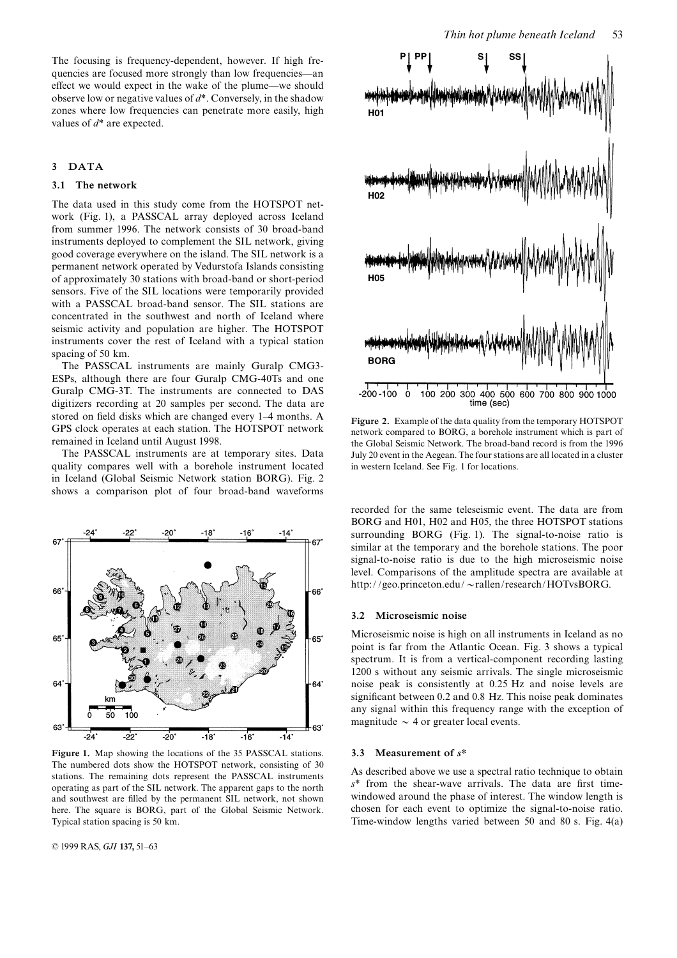The focusing is frequency-dependent, however. If high frequencies are focused more strongly than low frequencies—an effect we would expect in the wake of the plume—we should observe low or negative values of  $d^*$ . Conversely, in the shadow zones where low frequencies can penetrate more easily, high values of  $d^*$  are expected.

## 3 DATA

## 3.1 The network

The data used in this study come from the HOTSPOT network (Fig. 1), a PASSCAL array deployed across Iceland from summer 1996. The network consists of 30 broad-band instruments deployed to complement the SIL network, giving good coverage everywhere on the island. The SIL network is a permanent network operated by Vedurstofa Islands consisting of approximately 30 stations with broad-band or short-period sensors. Five of the SIL locations were temporarily provided with a PASSCAL broad-band sensor. The SIL stations are concentrated in the southwest and north of Iceland where seismic activity and population are higher. The HOTSPOT instruments cover the rest of Iceland with a typical station spacing of 50 km.

The PASSCAL instruments are mainly Guralp CMG3- ESPs, although there are four Guralp CMG-40Ts and one Guralp CMG-3T. The instruments are connected to DAS digitizers recording at 20 samples per second. The data are stored on field disks which are changed every 1-4 months. A GPS clock operates at each station. The HOTSPOT network remained in Iceland until August 1998.

The PASSCAL instruments are at temporary sites. Data quality compares well with a borehole instrument located in Iceland (Global Seismic Network station BORG). Fig. 2 shows a comparison plot of four broad-band waveforms



Figure 1. Map showing the locations of the 35 PASSCAL stations. The numbered dots show the HOTSPOT network, consisting of 30 stations. The remaining dots represent the PASSCAL instruments operating as part of the SIL network. The apparent gaps to the north and southwest are ¢lled by the permanent SIL network, not shown here. The square is BORG, part of the Global Seismic Network. Typical station spacing is 50 km.

© 1999 RAS, GJI 137, 51-63



Figure 2. Example of the data quality from the temporary HOTSPOT network compared to BORG, a borehole instrument which is part of the Global Seismic Network. The broad-band record is from the 1996 July 20 event in the Aegean. The four stations are all located in a cluster in western Iceland. See Fig. 1 for locations.

recorded for the same teleseismic event. The data are from BORG and H01, H02 and H05, the three HOTSPOT stations surrounding BORG (Fig. 1). The signal-to-noise ratio is similar at the temporary and the borehole stations. The poor signal-to-noise ratio is due to the high microseismic noise level. Comparisons of the amplitude spectra are available at http://geo.princeton.edu/~rallen/research/HOTvsBORG.

#### 3.2 Microseismic noise

Microseismic noise is high on all instruments in Iceland as no point is far from the Atlantic Ocean. Fig. 3 shows a typical spectrum. It is from a vertical-component recording lasting 1200 s without any seismic arrivals. The single microseismic noise peak is consistently at 0.25 Hz and noise levels are significant between 0.2 and 0.8 Hz. This noise peak dominates any signal within this frequency range with the exception of magnitude  $\sim$  4 or greater local events.

#### 3.3 Measurement of s\*

As described above we use a spectral ratio technique to obtain  $s^*$  from the shear-wave arrivals. The data are first timewindowed around the phase of interest. The window length is chosen for each event to optimize the signal-to-noise ratio. Time-window lengths varied between 50 and 80 s. Fig. 4(a)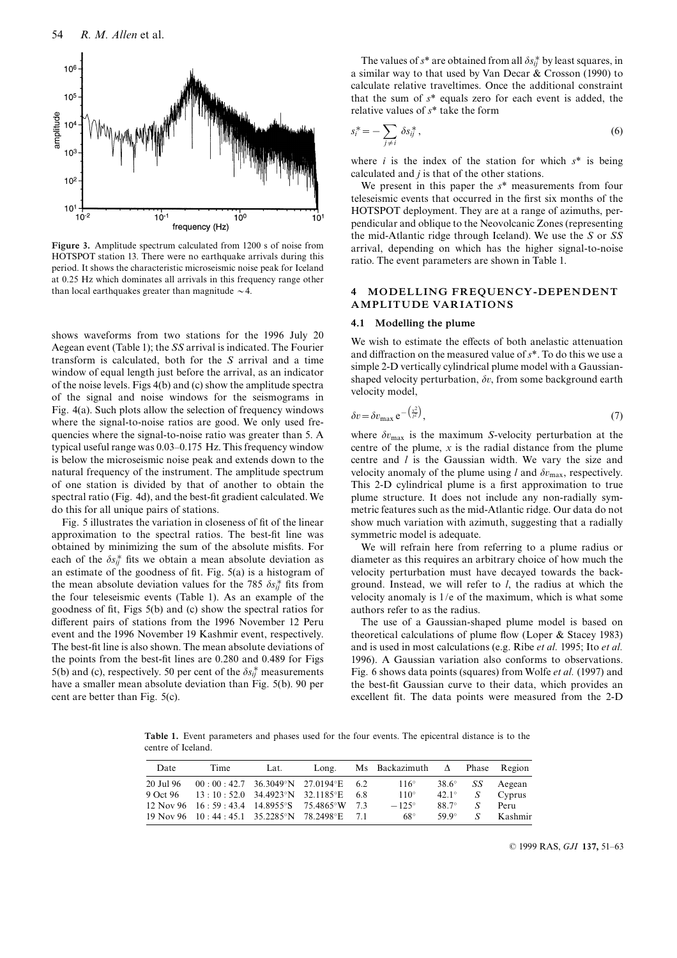

Figure 3. Amplitude spectrum calculated from 1200 s of noise from HOTSPOT station 13. There were no earthquake arrivals during this period. It shows the characteristic microseismic noise peak for Iceland at 0.25 Hz which dominates all arrivals in this frequency range other than local earthquakes greater than magnitude  $\sim$  4.

shows waveforms from two stations for the 1996 July 20 Aegean event (Table 1); the SS arrival is indicated. The Fourier transform is calculated, both for the S arrival and a time window of equal length just before the arrival, as an indicator of the noise levels. Figs 4(b) and (c) show the amplitude spectra of the signal and noise windows for the seismograms in Fig. 4(a). Such plots allow the selection of frequency windows where the signal-to-noise ratios are good. We only used frequencies where the signal-to-noise ratio was greater than 5. A typical useful range was 0.03–0.175 Hz. This frequency window is below the microseismic noise peak and extends down to the natural frequency of the instrument. The amplitude spectrum of one station is divided by that of another to obtain the spectral ratio (Fig. 4d), and the best-fit gradient calculated. We do this for all unique pairs of stations.

Fig. 5 illustrates the variation in closeness of fit of the linear approximation to the spectral ratios. The best-fit line was obtained by minimizing the sum of the absolute misfits. For each of the  $\delta s_{ij}^*$  fits we obtain a mean absolute deviation as an estimate of the goodness of fit. Fig.  $5(a)$  is a histogram of the mean absolute deviation values for the 785  $\delta s_{ij}^*$  fits from the four teleseismic events (Table 1). As an example of the goodness of fit, Figs 5(b) and (c) show the spectral ratios for different pairs of stations from the 1996 November 12 Peru event and the 1996 November 19 Kashmir event, respectively. The best-fit line is also shown. The mean absolute deviations of the points from the best-fit lines are 0.280 and 0.489 for Figs 5(b) and (c), respectively. 50 per cent of the  $\delta s_{ij}^*$  measurements have a smaller mean absolute deviation than Fig. 5(b). 90 per cent are better than Fig. 5(c).

The values of  $s^*$  are obtained from all  $\delta s^*_{ij}$  by least squares, in a similar way to that used by Van Decar & Crosson (1990) to calculate relative traveltimes. Once the additional constraint that the sum of  $s^*$  equals zero for each event is added, the relative values of  $s^*$  take the form

$$
s_i^* = -\sum_{j \neq i} \delta s_{ij}^*,\tag{6}
$$

where  $i$  is the index of the station for which  $s^*$  is being calculated and  $j$  is that of the other stations.

We present in this paper the  $s^*$  measurements from four teleseismic events that occurred in the first six months of the HOTSPOT deployment. They are at a range of azimuths, perpendicular and oblique to the Neovolcanic Zones (representing the mid-Atlantic ridge through Iceland). We use the S or SS arrival, depending on which has the higher signal-to-noise ratio. The event parameters are shown in Table 1.

## 4 MODELLING FREQUENCY-DEPENDENT AMPLITUDE VARIATIONS

### 4.1 Modelling the plume

We wish to estimate the effects of both anelastic attenuation and diffraction on the measured value of  $s^*$ . To do this we use a simple 2-D vertically cylindrical plume model with a Gaussianshaped velocity perturbation,  $\delta v$ , from some background earth velocity model,

$$
\delta v = \delta v_{\text{max}} \,\mathrm{e}^{-\left(\frac{x^2}{l^2}\right)},\tag{7}
$$

where  $\delta v_{\text{max}}$  is the maximum S-velocity perturbation at the centre of the plume,  $x$  is the radial distance from the plume centre and  $l$  is the Gaussian width. We vary the size and velocity anomaly of the plume using l and  $\delta v_{\text{max}}$ , respectively. This 2-D cylindrical plume is a first approximation to true plume structure. It does not include any non-radially symmetric features such as the mid-Atlantic ridge. Our data do not show much variation with azimuth, suggesting that a radially symmetric model is adequate.

We will refrain here from referring to a plume radius or diameter as this requires an arbitrary choice of how much the velocity perturbation must have decayed towards the background. Instead, we will refer to  $l$ , the radius at which the velocity anomaly is 1/e of the maximum, which is what some authors refer to as the radius.

The use of a Gaussian-shaped plume model is based on theoretical calculations of plume flow (Loper  $&$  Stacey 1983) and is used in most calculations (e.g. Ribe et al. 1995; Ito et al. 1996). A Gaussian variation also conforms to observations. Fig. 6 shows data points (squares) from Wolfe et al. (1997) and the best-fit Gaussian curve to their data, which provides an excellent fit. The data points were measured from the 2-D

Table 1. Event parameters and phases used for the four events. The epicentral distance is to the centre of Iceland.

| Date      | Time                                         | Lat. | Long. | Ms Backazimuth $\Delta$ |              | Phase         | Region  |
|-----------|----------------------------------------------|------|-------|-------------------------|--------------|---------------|---------|
| 20 Jul 96 | $00:00:42.7$ 36.3049°N 27.0194°E 6.2         |      |       | $116^\circ$             | $38.6^\circ$ | SS            | Aegean  |
|           | 9 Oct 96 13:10:52.0 34.4923°N 32.1185°E 6.8  |      |       | $110^\circ$             | $42.1^\circ$ | S             | Cyprus  |
|           | 12 Nov 96 16:59:43.4 14.8955°S 75.4865°W 7.3 |      |       | $-125^\circ$            | 88.7°        | S             | Peru    |
|           | 19 Nov 96 10:44:45.1 35.2285°N 78.2498°E 7.1 |      |       | 68°                     | $599^\circ$  | $\mathcal{S}$ | Kashmir |
|           |                                              |      |       |                         |              |               |         |

© 1999 RAS, GJI 137, 51-63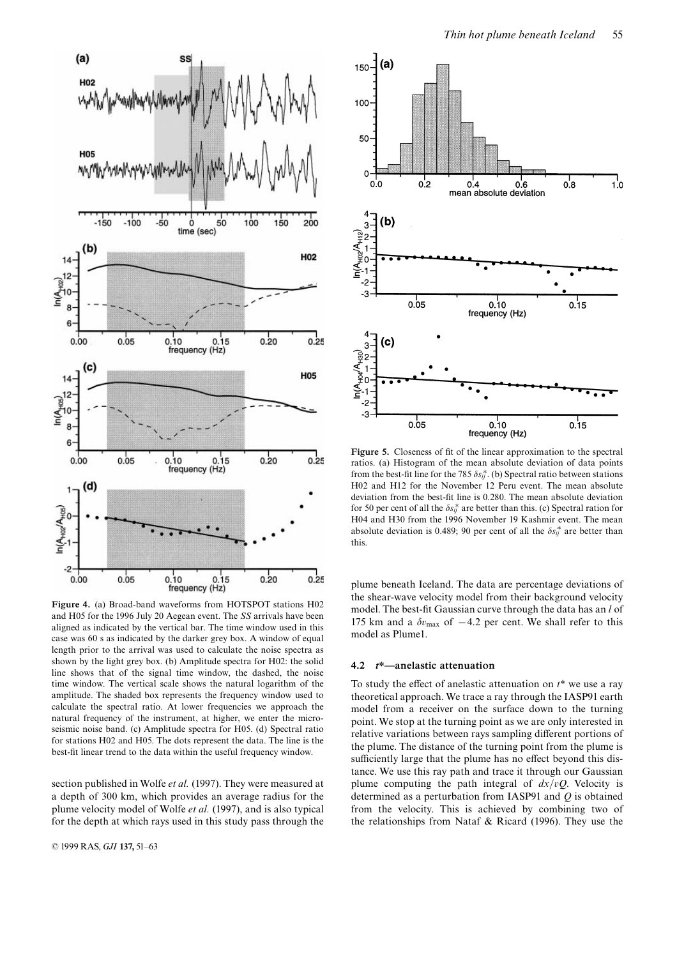

Figure 4. (a) Broad-band waveforms from HOTSPOT stations H02 and H05 for the 1996 July 20 Aegean event. The SS arrivals have been aligned as indicated by the vertical bar. The time window used in this case was 60 s as indicated by the darker grey box. A window of equal length prior to the arrival was used to calculate the noise spectra as shown by the light grey box. (b) Amplitude spectra for H02: the solid line shows that of the signal time window, the dashed, the noise time window. The vertical scale shows the natural logarithm of the amplitude. The shaded box represents the frequency window used to calculate the spectral ratio. At lower frequencies we approach the natural frequency of the instrument, at higher, we enter the microseismic noise band. (c) Amplitude spectra for H05. (d) Spectral ratio for stations H02 and H05. The dots represent the data. The line is the best-fit linear trend to the data within the useful frequency window.

section published in Wolfe et al. (1997). They were measured at a depth of 300 km, which provides an average radius for the plume velocity model of Wolfe et al. (1997), and is also typical for the depth at which rays used in this study pass through the



Figure 5. Closeness of fit of the linear approximation to the spectral ratios. (a) Histogram of the mean absolute deviation of data points from the best-fit line for the 785  $\delta s_{ij}^*$ . (b) Spectral ratio between stations H02 and H12 for the November 12 Peru event. The mean absolute deviation from the best-fit line is 0.280. The mean absolute deviation for 50 per cent of all the  $\delta s_{ij}^*$  are better than this. (c) Spectral ration for H04 and H30 from the 1996 November 19 Kashmir event. The mean absolute deviation is 0.489; 90 per cent of all the  $\delta s_{ij}^*$  are better than this.

plume beneath Iceland. The data are percentage deviations of the shear-wave velocity model from their background velocity model. The best-fit Gaussian curve through the data has an  $l$  of 175 km and a  $\delta v_{\text{max}}$  of  $-4.2$  per cent. We shall refer to this model as Plume1.

#### 4.2  $t^*$ —anelastic attenuation

To study the effect of anelastic attenuation on  $t^*$  we use a ray theoretical approach. We trace a ray through the IASP91 earth model from a receiver on the surface down to the turning point. We stop at the turning point as we are only interested in relative variations between rays sampling different portions of the plume. The distance of the turning point from the plume is sufficiently large that the plume has no effect beyond this distance. We use this ray path and trace it through our Gaussian plume computing the path integral of  $dx/vQ$ . Velocity is determined as a perturbation from IASP91 and  $Q$  is obtained from the velocity. This is achieved by combining two of the relationships from Nataf & Ricard (1996). They use the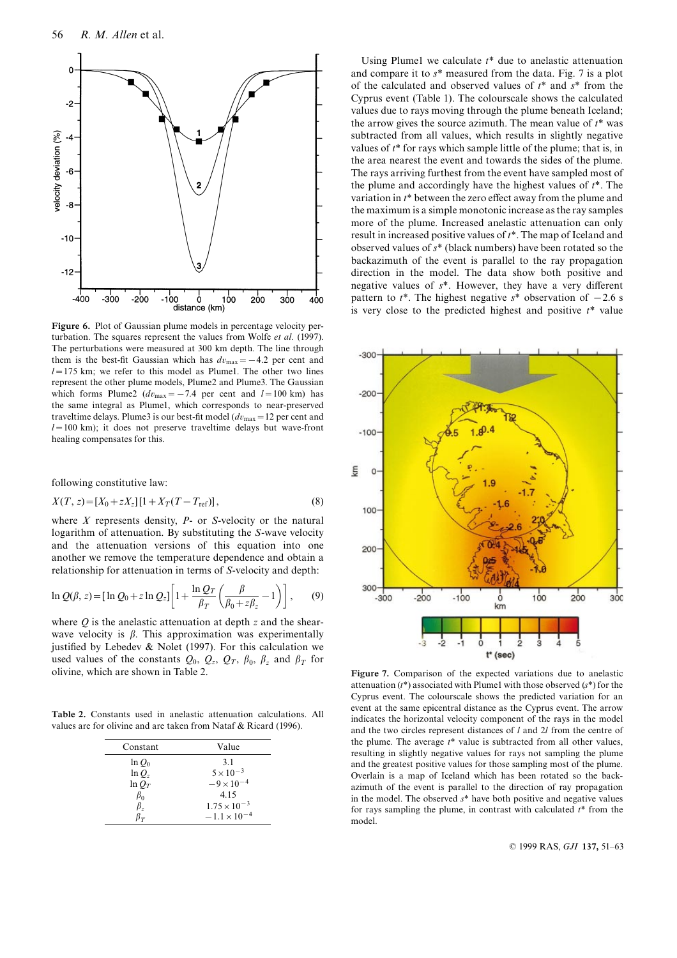

Figure 6. Plot of Gaussian plume models in percentage velocity perturbation. The squares represent the values from Wolfe et al. (1997). The perturbations were measured at 300 km depth. The line through them is the best-fit Gaussian which has  $dv_{\text{max}} = -4.2$  per cent and  $l=175$  km; we refer to this model as Plume1. The other two lines represent the other plume models, Plume2 and Plume3. The Gaussian which forms Plume2 ( $dv_{\text{max}} = -7.4$  per cent and  $l = 100$  km) has the same integral as Plume1, which corresponds to near-preserved traveltime delays. Plume3 is our best-fit model ( $dv_{\text{max}} = 12$  per cent and  $l=100$  km); it does not preserve traveltime delays but wave-front healing compensates for this.

following constitutive law:

$$
X(T, z) = [X_0 + zX_z][1 + X_T(T - T_{\text{ref}})],
$$
\n(8)

where  $X$  represents density,  $P$ - or  $S$ -velocity or the natural logarithm of attenuation. By substituting the S-wave velocity and the attenuation versions of this equation into one another we remove the temperature dependence and obtain a relationship for attenuation in terms of S-velocity and depth:

$$
\ln Q(\beta, z) = [\ln Q_0 + z \ln Q_z] \bigg[ 1 + \frac{\ln Q_T}{\beta_T} \bigg( \frac{\beta}{\beta_0 + z \beta_z} - 1 \bigg) \bigg] , \qquad (9)
$$

where  $Q$  is the anelastic attenuation at depth  $z$  and the shearwave velocity is  $\beta$ . This approximation was experimentally justified by Lebedev & Nolet (1997). For this calculation we used values of the constants  $Q_0$ ,  $Q_z$ ,  $Q_T$ ,  $\beta_0$ ,  $\beta_z$  and  $\beta_T$  for olivine, which are shown in Table 2.

Table 2. Constants used in anelastic attenuation calculations. All values are for olivine and are taken from Nataf & Ricard (1996).

| Constant       | Value                 |
|----------------|-----------------------|
| $\ln Q_0$      | 3.1                   |
| $\ln Q_{\tau}$ | $5 \times 10^{-3}$    |
| $\ln Q_T$      | $-9 \times 10^{-4}$   |
| $\beta_0$      | 4.15                  |
| $\beta_z$      | $1.75 \times 10^{-3}$ |
| ß÷             | $-1.1 \times 10^{-4}$ |

Using Plume1 we calculate  $t^*$  due to anelastic attenuation and compare it to s\* measured from the data. Fig. 7 is a plot of the calculated and observed values of  $t^*$  and  $s^*$  from the Cyprus event (Table 1). The colourscale shows the calculated values due to rays moving through the plume beneath Iceland; the arrow gives the source azimuth. The mean value of  $t^*$  was subtracted from all values, which results in slightly negative values of  $t^*$  for rays which sample little of the plume; that is, in the area nearest the event and towards the sides of the plume. The rays arriving furthest from the event have sampled most of the plume and accordingly have the highest values of  $t^*$ . The variation in  $t^*$  between the zero effect away from the plume and the maximum is a simple monotonic increase as the ray samples more of the plume. Increased anelastic attenuation can only result in increased positive values of  $t^*$ . The map of Iceland and observed values of s\* (black numbers) have been rotated so the backazimuth of the event is parallel to the ray propagation direction in the model. The data show both positive and negative values of  $s^*$ . However, they have a very different pattern to  $t^*$ . The highest negative  $s^*$  observation of  $-2.6$  s is very close to the predicted highest and positive  $t^*$  value



Figure 7. Comparison of the expected variations due to anelastic attenuation  $(t^*)$  associated with Plume1 with those observed  $(s^*)$  for the Cyprus event. The colourscale shows the predicted variation for an event at the same epicentral distance as the Cyprus event. The arrow indicates the horizontal velocity component of the rays in the model and the two circles represent distances of l and 2l from the centre of the plume. The average  $t^*$  value is subtracted from all other values, resulting in slightly negative values for rays not sampling the plume and the greatest positive values for those sampling most of the plume. Overlain is a map of Iceland which has been rotated so the backazimuth of the event is parallel to the direction of ray propagation in the model. The observed  $s^*$  have both positive and negative values for rays sampling the plume, in contrast with calculated  $t^*$  from the model.

© 1999 RAS, GJI 137, 51-63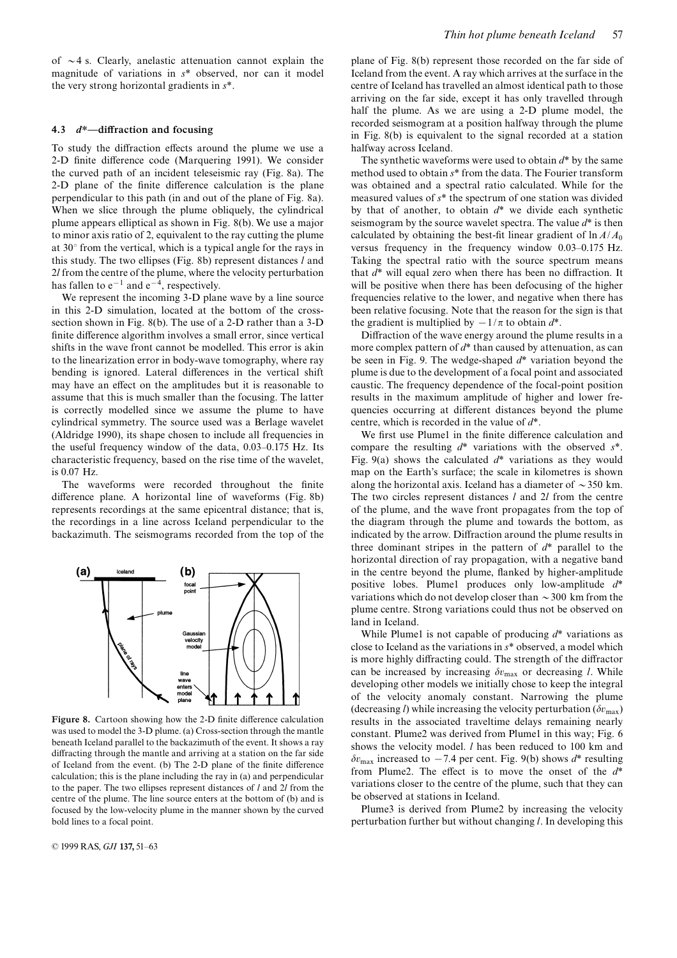of  $\sim$ 4 s. Clearly, anelastic attenuation cannot explain the magnitude of variations in  $s^*$  observed, nor can it model the very strong horizontal gradients in s\*.

#### 4.3  $d^*$ —diffraction and focusing

To study the diffraction effects around the plume we use a 2-D finite difference code (Marquering 1991). We consider the curved path of an incident teleseismic ray (Fig. 8a). The 2-D plane of the finite difference calculation is the plane perpendicular to this path (in and out of the plane of Fig. 8a). When we slice through the plume obliquely, the cylindrical plume appears elliptical as shown in Fig. 8(b). We use a major to minor axis ratio of 2, equivalent to the ray cutting the plume at  $30^{\circ}$  from the vertical, which is a typical angle for the rays in this study. The two ellipses (Fig. 8b) represent distances  $l$  and 2l from the centre of the plume, where the velocity perturbation has fallen to  $e^{-1}$  and  $e^{-4}$ , respectively.

We represent the incoming 3-D plane wave by a line source in this 2-D simulation, located at the bottom of the crosssection shown in Fig. 8(b). The use of a 2-D rather than a 3-D finite difference algorithm involves a small error, since vertical shifts in the wave front cannot be modelled. This error is akin to the linearization error in body-wave tomography, where ray bending is ignored. Lateral differences in the vertical shift may have an effect on the amplitudes but it is reasonable to assume that this is much smaller than the focusing. The latter is correctly modelled since we assume the plume to have cylindrical symmetry. The source used was a Berlage wavelet (Aldridge 1990), its shape chosen to include all frequencies in the useful frequency window of the data, 0.03-0.175 Hz. Its characteristic frequency, based on the rise time of the wavelet, is 0.07 Hz.

The waveforms were recorded throughout the finite difference plane. A horizontal line of waveforms (Fig. 8b) represents recordings at the same epicentral distance; that is, the recordings in a line across Iceland perpendicular to the backazimuth. The seismograms recorded from the top of the



Figure 8. Cartoon showing how the 2-D finite difference calculation was used to model the 3-D plume. (a) Cross-section through the mantle beneath Iceland parallel to the backazimuth of the event. It shows a ray diffracting through the mantle and arriving at a station on the far side of Iceland from the event. (b) The 2-D plane of the finite difference calculation; this is the plane including the ray in (a) and perpendicular to the paper. The two ellipses represent distances of  $l$  and  $2l$  from the centre of the plume. The line source enters at the bottom of (b) and is focused by the low-velocity plume in the manner shown by the curved bold lines to a focal point.

plane of Fig. 8(b) represent those recorded on the far side of Iceland from the event. A ray which arrives at the surface in the centre of Iceland has travelled an almost identical path to those arriving on the far side, except it has only travelled through half the plume. As we are using a 2-D plume model, the recorded seismogram at a position halfway through the plume in Fig. 8(b) is equivalent to the signal recorded at a station halfway across Iceland.

The synthetic waveforms were used to obtain  $d^*$  by the same method used to obtain s\* from the data. The Fourier transform was obtained and a spectral ratio calculated. While for the measured values of s\* the spectrum of one station was divided by that of another, to obtain  $d^*$  we divide each synthetic seismogram by the source wavelet spectra. The value  $d^*$  is then calculated by obtaining the best-fit linear gradient of  $\ln A/A_0$ versus frequency in the frequency window 0.03–0.175 Hz. Taking the spectral ratio with the source spectrum means that  $d^*$  will equal zero when there has been no diffraction. It will be positive when there has been defocusing of the higher frequencies relative to the lower, and negative when there has been relative focusing. Note that the reason for the sign is that the gradient is multiplied by  $-1/\pi$  to obtain  $d^*$ .

Diffraction of the wave energy around the plume results in a more complex pattern of  $d^*$  than caused by attenuation, as can be seen in Fig. 9. The wedge-shaped  $d^*$  variation beyond the plume is due to the development of a focal point and associated caustic. The frequency dependence of the focal-point position results in the maximum amplitude of higher and lower frequencies occurring at different distances beyond the plume centre, which is recorded in the value of  $d^*$ .

We first use Plume1 in the finite difference calculation and compare the resulting  $d^*$  variations with the observed  $s^*$ . Fig. 9(a) shows the calculated  $d^*$  variations as they would map on the Earth's surface; the scale in kilometres is shown along the horizontal axis. Iceland has a diameter of  $\sim$  350 km. The two circles represent distances  $l$  and  $2l$  from the centre of the plume, and the wave front propagates from the top of the diagram through the plume and towards the bottom, as indicated by the arrow. Diffraction around the plume results in three dominant stripes in the pattern of  $d^*$  parallel to the horizontal direction of ray propagation, with a negative band in the centre beyond the plume, flanked by higher-amplitude positive lobes. Plumel produces only low-amplitude  $d^*$ variations which do not develop closer than  $\sim$  300 km from the plume centre. Strong variations could thus not be observed on land in Iceland.

While Plume1 is not capable of producing  $d^*$  variations as close to Iceland as the variations in s\* observed, a model which is more highly diffracting could. The strength of the diffractor can be increased by increasing  $\delta v_{\text{max}}$  or decreasing l. While developing other models we initially chose to keep the integral of the velocity anomaly constant. Narrowing the plume (decreasing l) while increasing the velocity perturbation ( $\delta v_{\text{max}}$ ) results in the associated traveltime delays remaining nearly constant. Plume2 was derived from Plume1 in this way; Fig. 6 shows the velocity model. *l* has been reduced to 100 km and  $\delta v_{\text{max}}$  increased to  $-7.4$  per cent. Fig. 9(b) shows  $d^*$  resulting from Plume2. The effect is to move the onset of the  $d^*$ variations closer to the centre of the plume, such that they can be observed at stations in Iceland.

Plume3 is derived from Plume2 by increasing the velocity perturbation further but without changing l. In developing this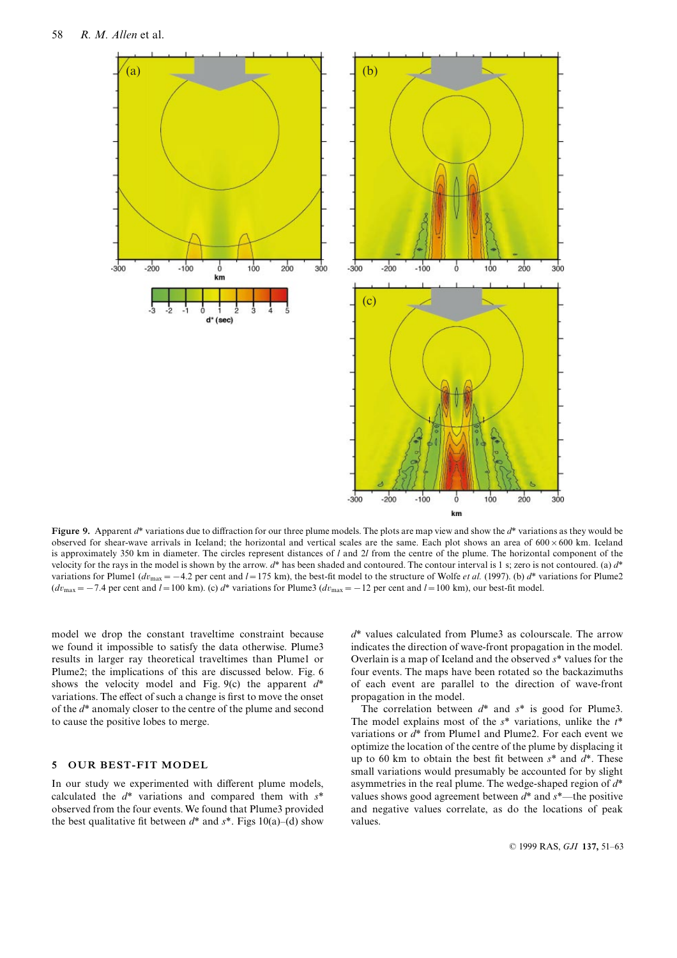



Figure 9. Apparent  $d^*$  variations due to diffraction for our three plume models. The plots are map view and show the  $d^*$  variations as they would be observed for shear-wave arrivals in Iceland; the horizontal and vertical scales are the same. Each plot shows an area of  $600 \times 600$  km. Iceland is approximately 350 km in diameter. The circles represent distances of l and 2l from the centre of the plume. The horizontal component of the velocity for the rays in the model is shown by the arrow.  $d^*$  has been shaded and contoured. The contour interval is 1 s; zero is not contoured. (a)  $d^*$ variations for Plume1 ( $dv_{\text{max}} = -4.2$  per cent and  $l = 175$  km), the best-fit model to the structure of Wolfe *et al.* (1997). (b)  $d^*$  variations for Plume2  $(dv_{\text{max}} = -7.4$  per cent and  $l = 100$  km). (c)  $d^*$  variations for Plume3  $(dv_{\text{max}} = -12$  per cent and  $l = 100$  km), our best-fit model.

model we drop the constant traveltime constraint because we found it impossible to satisfy the data otherwise. Plume3 results in larger ray theoretical traveltimes than Plume1 or Plume2; the implications of this are discussed below. Fig. 6 shows the velocity model and Fig. 9(c) the apparent  $d^*$ variations. The effect of such a change is first to move the onset of the d\* anomaly closer to the centre of the plume and second to cause the positive lobes to merge.

## 5 OUR BEST-FIT MODEL

In our study we experimented with different plume models, calculated the  $d^*$  variations and compared them with  $s^*$ observed from the four events. We found that Plume3 provided the best qualitative fit between  $d^*$  and  $s^*$ . Figs 10(a)–(d) show  $d^*$  values calculated from Plume3 as colourscale. The arrow indicates the direction of wave-front propagation in the model. Overlain is a map of Iceland and the observed  $s^*$  values for the four events. The maps have been rotated so the backazimuths of each event are parallel to the direction of wave-front propagation in the model.

The correlation between  $d^*$  and  $s^*$  is good for Plume3. The model explains most of the  $s^*$  variations, unlike the  $t^*$ variations or  $d^*$  from Plume1 and Plume2. For each event we optimize the location of the centre of the plume by displacing it up to 60 km to obtain the best fit between  $s^*$  and  $d^*$ . These small variations would presumably be accounted for by slight asymmetries in the real plume. The wedge-shaped region of  $d^*$ values shows good agreement between  $d^*$  and  $s^*$ —the positive and negative values correlate, as do the locations of peak values.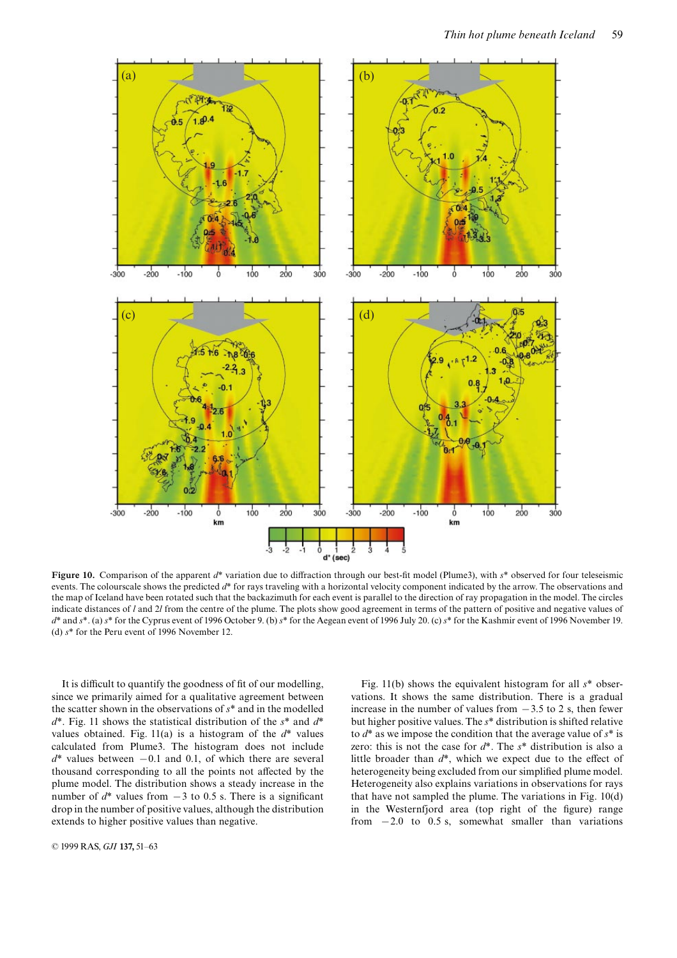

Figure 10. Comparison of the apparent  $d^*$  variation due to diffraction through our best-fit model (Plume3), with  $s^*$  observed for four teleseismic events. The colourscale shows the predicted  $d^*$  for rays traveling with a horizontal velocity component indicated by the arrow. The observations and the map of Iceland have been rotated such that the backazimuth for each event is parallel to the direction of ray propagation in the model. The circles indicate distances of  $l$  and  $2l$  from the centre of the plume. The plots show good agreement in terms of the pattern of positive and negative values of  $d^*$  and  $s^*$ . (a)  $s^*$  for the Cyprus event of 1996 October 9. (b)  $s^*$  for the Aegean event of 1996 July 20. (c)  $s^*$  for the Kashmir event of 1996 November 19. (d) s\* for the Peru event of 1996 November 12.

It is difficult to quantify the goodness of fit of our modelling, since we primarily aimed for a qualitative agreement between the scatter shown in the observations of  $s^*$  and in the modelled  $d^*$ . Fig. 11 shows the statistical distribution of the  $s^*$  and  $d^*$ values obtained. Fig. 11(a) is a histogram of the  $d^*$  values calculated from Plume3. The histogram does not include  $d^*$  values between  $-0.1$  and 0.1, of which there are several thousand corresponding to all the points not affected by the plume model. The distribution shows a steady increase in the number of  $d^*$  values from  $-3$  to 0.5 s. There is a significant drop in the number of positive values, although the distribution extends to higher positive values than negative.

Fig. 11(b) shows the equivalent histogram for all  $s^*$  observations. It shows the same distribution. There is a gradual increase in the number of values from  $-3.5$  to 2 s, then fewer but higher positive values. The s\* distribution is shifted relative to  $d^*$  as we impose the condition that the average value of  $s^*$  is zero: this is not the case for  $d^*$ . The  $s^*$  distribution is also a little broader than  $d^*$ , which we expect due to the effect of heterogeneity being excluded from our simplified plume model. Heterogeneity also explains variations in observations for rays that have not sampled the plume. The variations in Fig. 10(d) in the Westernfjord area (top right of the figure) range from  $-2.0$  to 0.5 s, somewhat smaller than variations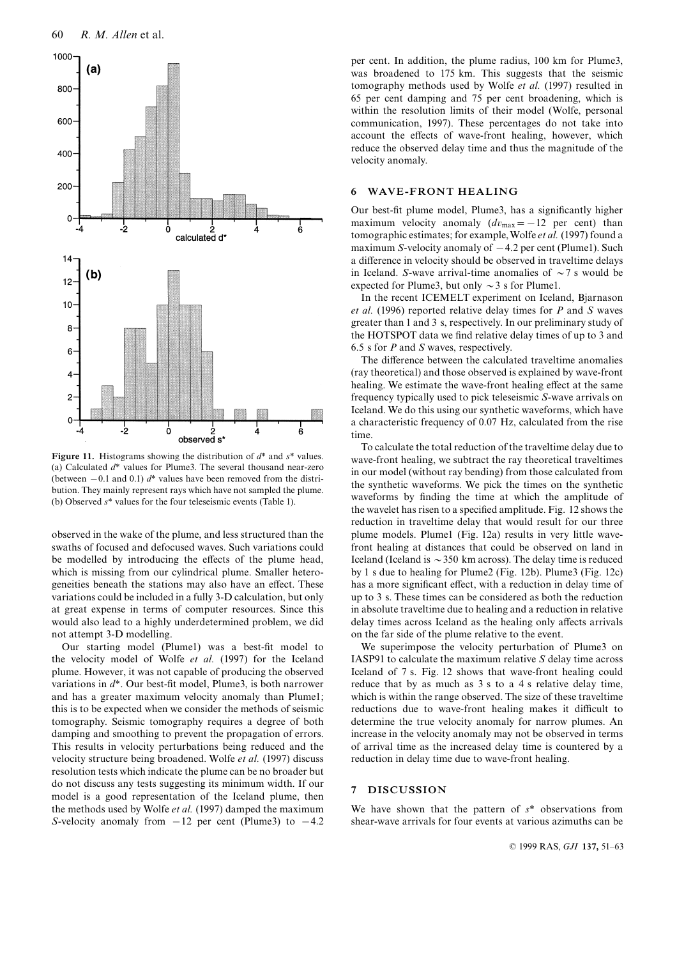

Figure 11. Histograms showing the distribution of  $d^*$  and  $s^*$  values. (a) Calculated  $d^*$  values for Plume3. The several thousand near-zero (between  $-0.1$  and 0.1)  $d^*$  values have been removed from the distribution. They mainly represent rays which have not sampled the plume. (b) Observed  $s^*$  values for the four teleseismic events (Table 1).

observed in the wake of the plume, and less structured than the swaths of focused and defocused waves. Such variations could be modelled by introducing the effects of the plume head, which is missing from our cylindrical plume. Smaller heterogeneities beneath the stations may also have an effect. These variations could be included in a fully 3-D calculation, but only at great expense in terms of computer resources. Since this would also lead to a highly underdetermined problem, we did not attempt 3-D modelling.

Our starting model (Plume1) was a best-fit model to the velocity model of Wolfe et al. (1997) for the Iceland plume. However, it was not capable of producing the observed variations in  $d^*$ . Our best-fit model, Plume3, is both narrower and has a greater maximum velocity anomaly than Plume1; this is to be expected when we consider the methods of seismic tomography. Seismic tomography requires a degree of both damping and smoothing to prevent the propagation of errors. This results in velocity perturbations being reduced and the velocity structure being broadened. Wolfe et al. (1997) discuss resolution tests which indicate the plume can be no broader but do not discuss any tests suggesting its minimum width. If our model is a good representation of the Iceland plume, then the methods used by Wolfe et al. (1997) damped the maximum S-velocity anomaly from  $-12$  per cent (Plume3) to  $-4.2$ 

per cent. In addition, the plume radius, 100 km for Plume3, was broadened to 175 km. This suggests that the seismic tomography methods used by Wolfe et al. (1997) resulted in 65 per cent damping and 75 per cent broadening, which is within the resolution limits of their model (Wolfe, personal communication, 1997). These percentages do not take into account the effects of wave-front healing, however, which reduce the observed delay time and thus the magnitude of the velocity anomaly.

# 6 WAVE-FRONT HEALING

Our best-fit plume model, Plume3, has a significantly higher maximum velocity anomaly  $(dv_{\text{max}}=-12 \text{ per cent})$  than tomographic estimates; for example,Wolfe et al. (1997) found a maximum S-velocity anomaly of  $-4.2$  per cent (Plume1). Such a difference in velocity should be observed in traveltime delays in Iceland. S-wave arrival-time anomalies of  $\sim$  7 s would be expected for Plume3, but only  $\sim$  3 s for Plume1.

In the recent ICEMELT experiment on Iceland, Bjarnason et al. (1996) reported relative delay times for  $P$  and  $S$  waves greater than 1 and 3 s, respectively. In our preliminary study of the HOTSPOT data we find relative delay times of up to 3 and 6.5 s for  $P$  and  $S$  waves, respectively.

The difference between the calculated traveltime anomalies (ray theoretical) and those observed is explained by wave-front healing. We estimate the wave-front healing effect at the same frequency typically used to pick teleseismic S-wave arrivals on Iceland. We do this using our synthetic waveforms, which have a characteristic frequency of 0.07 Hz, calculated from the rise time.

To calculate the total reduction of the traveltime delay due to wave-front healing, we subtract the ray theoretical traveltimes in our model (without ray bending) from those calculated from the synthetic waveforms. We pick the times on the synthetic waveforms by finding the time at which the amplitude of the wavelet has risen to a specified amplitude. Fig. 12 shows the reduction in traveltime delay that would result for our three plume models. Plume1 (Fig. 12a) results in very little wavefront healing at distances that could be observed on land in Iceland (Iceland is  $\sim$  350 km across). The delay time is reduced by 1 s due to healing for Plume2 (Fig. 12b). Plume3 (Fig. 12c) has a more significant effect, with a reduction in delay time of up to 3 s. These times can be considered as both the reduction in absolute traveltime due to healing and a reduction in relative delay times across Iceland as the healing only affects arrivals on the far side of the plume relative to the event.

We superimpose the velocity perturbation of Plume3 on IASP91 to calculate the maximum relative S delay time across Iceland of 7 s. Fig. 12 shows that wave-front healing could reduce that by as much as 3 s to a 4 s relative delay time, which is within the range observed. The size of these traveltime reductions due to wave-front healing makes it difficult to determine the true velocity anomaly for narrow plumes. An increase in the velocity anomaly may not be observed in terms of arrival time as the increased delay time is countered by a reduction in delay time due to wave-front healing.

#### 7 DISCUSSION

We have shown that the pattern of  $s^*$  observations from shear-wave arrivals for four events at various azimuths can be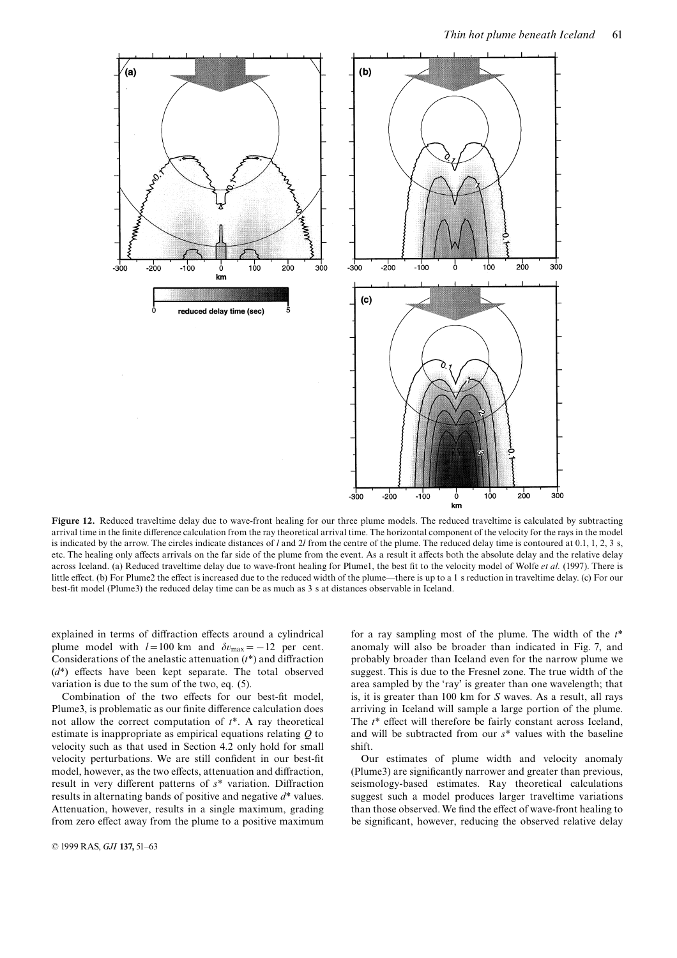

Figure 12. Reduced traveltime delay due to wave-front healing for our three plume models. The reduced traveltime is calculated by subtracting arrival time in the finite difference calculation from the ray theoretical arrival time. The horizontal component of the velocity for the rays in the model is indicated by the arrow. The circles indicate distances of l and 2l from the centre of the plume. The reduced delay time is contoured at 0.1, 1, 2, 3 s, etc. The healing only affects arrivals on the far side of the plume from the event. As a result it affects both the absolute delay and the relative delay across Iceland. (a) Reduced traveltime delay due to wave-front healing for Plume1, the best fit to the velocity model of Wolfe et al. (1997). There is little effect. (b) For Plume2 the effect is increased due to the reduced width of the plume—there is up to a 1 s reduction in traveltime delay. (c) For our best-fit model (Plume3) the reduced delay time can be as much as 3 s at distances observable in Iceland.

explained in terms of diffraction effects around a cylindrical plume model with  $l=100$  km and  $\delta v_{\text{max}}=-12$  per cent. Considerations of the anelastic attenuation  $(t^*)$  and diffraction  $(d^*)$  effects have been kept separate. The total observed variation is due to the sum of the two, eq. (5).

Combination of the two effects for our best-fit model, Plume3, is problematic as our finite difference calculation does not allow the correct computation of  $t^*$ . A ray theoretical estimate is inappropriate as empirical equations relating Q to velocity such as that used in Section 4.2 only hold for small velocity perturbations. We are still confident in our best-fit model, however, as the two effects, attenuation and diffraction, result in very different patterns of  $s^*$  variation. Diffraction results in alternating bands of positive and negative d\* values. Attenuation, however, results in a single maximum, grading from zero effect away from the plume to a positive maximum for a ray sampling most of the plume. The width of the  $t^*$ anomaly will also be broader than indicated in Fig. 7, and probably broader than Iceland even for the narrow plume we suggest. This is due to the Fresnel zone. The true width of the area sampled by the `ray' is greater than one wavelength; that is, it is greater than 100 km for S waves. As a result, all rays arriving in Iceland will sample a large portion of the plume. The  $t^*$  effect will therefore be fairly constant across Iceland, and will be subtracted from our s\* values with the baseline shift.

Our estimates of plume width and velocity anomaly (Plume3) are significantly narrower and greater than previous, seismology-based estimates. Ray theoretical calculations suggest such a model produces larger traveltime variations than those observed. We find the effect of wave-front healing to be significant, however, reducing the observed relative delay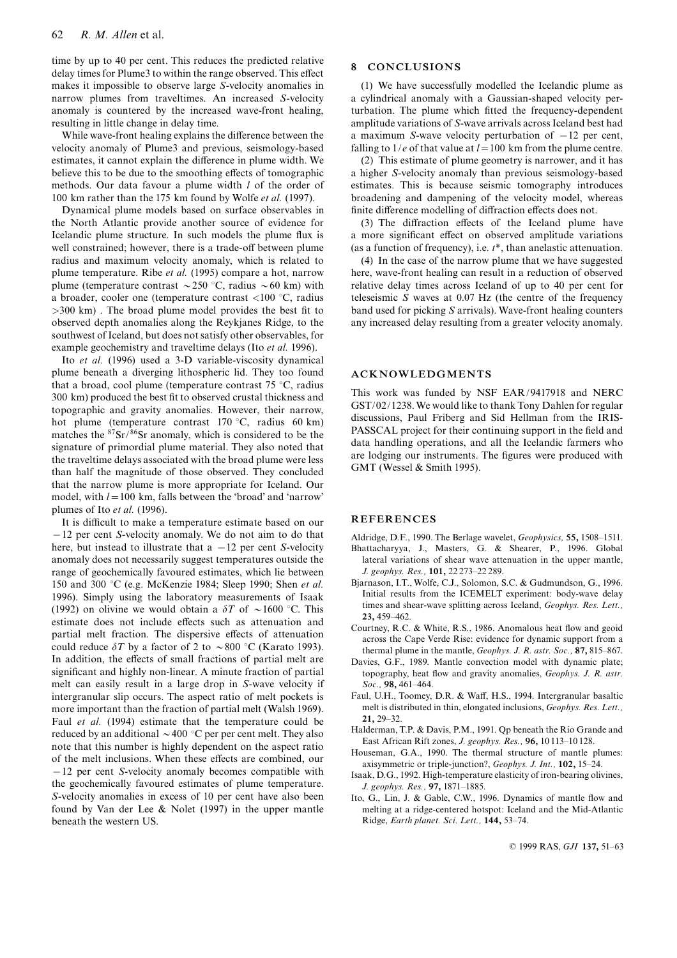time by up to 40 per cent. This reduces the predicted relative delay times for Plume3 to within the range observed. This effect makes it impossible to observe large S-velocity anomalies in narrow plumes from traveltimes. An increased S-velocity anomaly is countered by the increased wave-front healing, resulting in little change in delay time.

While wave-front healing explains the difference between the velocity anomaly of Plume3 and previous, seismology-based estimates, it cannot explain the difference in plume width. We believe this to be due to the smoothing effects of tomographic methods. Our data favour a plume width l of the order of 100 km rather than the 175 km found by Wolfe et al. (1997).

Dynamical plume models based on surface observables in the North Atlantic provide another source of evidence for Icelandic plume structure. In such models the plume flux is well constrained; however, there is a trade-off between plume radius and maximum velocity anomaly, which is related to plume temperature. Ribe et al. (1995) compare a hot, narrow plume (temperature contrast  $\sim$  250 °C, radius  $\sim$  60 km) with a broader, cooler one (temperature contrast  $\langle 100 \degree C$ , radius  $>300$  km). The broad plume model provides the best fit to observed depth anomalies along the Reykjanes Ridge, to the southwest of Iceland, but does not satisfy other observables, for example geochemistry and traveltime delays (Ito et al. 1996).

Ito et al. (1996) used a 3-D variable-viscosity dynamical plume beneath a diverging lithospheric lid. They too found that a broad, cool plume (temperature contrast  $75^{\circ}$ C, radius 300 km) produced the best fit to observed crustal thickness and topographic and gravity anomalies. However, their narrow, hot plume (temperature contrast  $170^{\circ}$ C, radius 60 km) matches the 87Sr/86Sr anomaly, which is considered to be the signature of primordial plume material. They also noted that the traveltime delays associated with the broad plume were less than half the magnitude of those observed. They concluded that the narrow plume is more appropriate for Iceland. Our model, with  $l=100$  km, falls between the 'broad' and 'narrow' plumes of Ito et al. (1996).

It is difficult to make a temperature estimate based on our  $-12$  per cent S-velocity anomaly. We do not aim to do that here, but instead to illustrate that a  $-12$  per cent S-velocity anomaly does not necessarily suggest temperatures outside the range of geochemically favoured estimates, which lie between 150 and 300 °C (e.g. McKenzie 1984; Sleep 1990; Shen *et al.* 1996). Simply using the laboratory measurements of Isaak (1992) on olivine we would obtain a  $\delta T$  of  $\sim 1600$  °C. This estimate does not include effects such as attenuation and partial melt fraction. The dispersive effects of attenuation could reduce  $\delta T$  by a factor of 2 to  $\sim 800$  °C (Karato 1993). In addition, the effects of small fractions of partial melt are significant and highly non-linear. A minute fraction of partial melt can easily result in a large drop in S-wave velocity if intergranular slip occurs. The aspect ratio of melt pockets is more important than the fraction of partial melt (Walsh 1969). Faul et al. (1994) estimate that the temperature could be reduced by an additional  $\sim$  400 °C per per cent melt. They also note that this number is highly dependent on the aspect ratio of the melt inclusions. When these effects are combined, our  $-12$  per cent S-velocity anomaly becomes compatible with the geochemically favoured estimates of plume temperature. S-velocity anomalies in excess of 10 per cent have also been found by Van der Lee  $&$  Nolet (1997) in the upper mantle beneath the western US.

# 8 CONCLUSIONS

(1) We have successfully modelled the Icelandic plume as a cylindrical anomaly with a Gaussian-shaped velocity perturbation. The plume which fitted the frequency-dependent amplitude variations of S-wave arrivals across Iceland best had a maximum S-wave velocity perturbation of  $-12$  per cent, falling to  $1/e$  of that value at  $l=100$  km from the plume centre.

(2) This estimate of plume geometry is narrower, and it has a higher S-velocity anomaly than previous seismology-based estimates. This is because seismic tomography introduces broadening and dampening of the velocity model, whereas finite difference modelling of diffraction effects does not.

 $(3)$  The diffraction effects of the Iceland plume have a more significant effect on observed amplitude variations (as a function of frequency), i.e. t\*, than anelastic attenuation.

(4) In the case of the narrow plume that we have suggested here, wave-front healing can result in a reduction of observed relative delay times across Iceland of up to 40 per cent for teleseismic  $S$  waves at 0.07 Hz (the centre of the frequency band used for picking S arrivals). Wave-front healing counters any increased delay resulting from a greater velocity anomaly.

#### ACKNOWLEDGMENTS

This work was funded by NSF EAR/9417918 and NERC GST/02/1238.We would like to thank Tony Dahlen for regular discussions, Paul Friberg and Sid Hellman from the IRIS-PASSCAL project for their continuing support in the field and data handling operations, and all the Icelandic farmers who are lodging our instruments. The figures were produced with GMT (Wessel & Smith 1995).

#### REFERENCES

- Aldridge, D.F., 1990. The Berlage wavelet, *Geophysics*, 55, 1508-1511. Bhattacharyya, J., Masters, G. & Shearer, P., 1996. Global lateral variations of shear wave attenuation in the upper mantle, J. geophys. Res., 101, 22 273-22 289.
- Bjarnason, I.T., Wolfe, C.J., Solomon, S.C. & Gudmundson, G., 1996. Initial results from the ICEMELT experiment: body-wave delay times and shear-wave splitting across Iceland, Geophys. Res. Lett., 23, 459^462.
- Courtney, R.C. & White, R.S., 1986. Anomalous heat flow and geoid across the Cape Verde Rise: evidence for dynamic support from a thermal plume in the mantle, Geophys. J. R. astr. Soc., 87, 815-867.
- Davies, G.F., 1989. Mantle convection model with dynamic plate; topography, heat flow and gravity anomalies, Geophys. J. R. astr.  $Soc.$  98, 461 $-464.$
- Faul, U.H., Toomey, D.R. & Waff, H.S., 1994. Intergranular basaltic melt is distributed in thin, elongated inclusions, Geophys. Res. Lett., 21, 29^32.
- Halderman, T.P. & Davis, P.M., 1991. Qp beneath the Rio Grande and East African Rift zones, J. geophys. Res., 96, 10 113^10 128.
- Houseman, G.A., 1990. The thermal structure of mantle plumes: axisymmetric or triple-junction?, Geophys. J. Int., 102, 15-24.
- Isaak, D.G., 1992. High-temperature elasticity of iron-bearing olivines, J. geophys. Res., 97, 1871-1885.
- Ito, G., Lin, J. & Gable, C.W., 1996. Dynamics of mantle flow and melting at a ridge-centered hotspot: Iceland and the Mid-Atlantic Ridge, Earth planet. Sci. Lett., 144, 53-74.

© 1999 RAS, GJI 137, 51-63